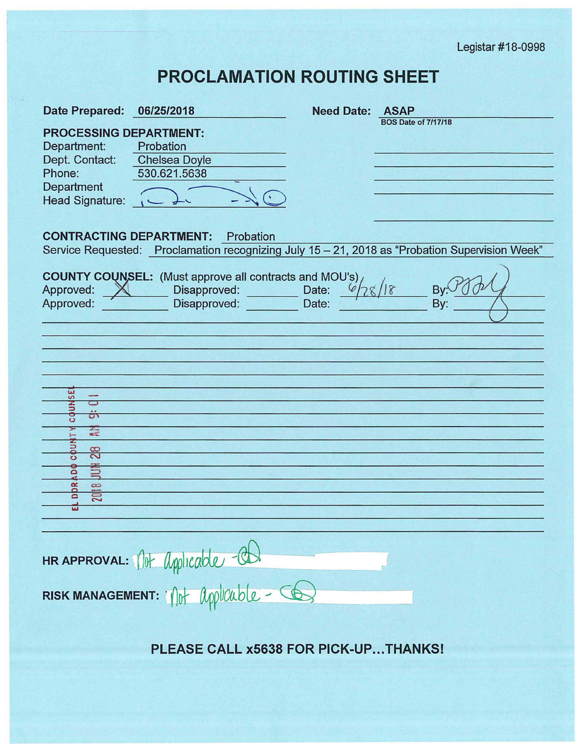Legistar #18-0998

## **PROCLAMATION ROUTING SHEET**

| <b>Date Prepared:</b>                                                                                                                                                                                   | 06/25/2018                                                                                    | <b>Need Date: ASAP</b> |                            |
|---------------------------------------------------------------------------------------------------------------------------------------------------------------------------------------------------------|-----------------------------------------------------------------------------------------------|------------------------|----------------------------|
| <b>PROCESSING DEPARTMENT:</b><br>Department:<br>Dept. Contact:<br>Phone:<br>Department<br><b>Head Signature:</b>                                                                                        | Probation<br><b>Chelsea Doyle</b><br>530.621.5638                                             |                        | <b>BOS Date of 7/17/18</b> |
| <b>CONTRACTING DEPARTMENT:</b><br>Probation<br>Service Requested: Proclamation recognizing July 15 - 21, 2018 as "Probation Supervision Week"                                                           |                                                                                               |                        |                            |
| Approved:<br>$\mathbb{X}$<br>Approved:<br><b>SE</b><br>c<br><b>COUN</b><br>ᡡ<br>二<br><b>COUN</b><br>$\frac{8}{2}$<br>ខឺ<br>芎<br>$\approx$<br>$\infty$<br>o<br>$\overline{\overline{2}}$<br>$\mathbf{D}$ | <b>COUNTY COUNSEL:</b> (Must approve all contracts and MOU's)<br>Disapproved:<br>Disapproved: | Date:<br>Date:         | B١<br><b>By</b>            |
| HRAPPROVAL: 10 Applicable - CD.                                                                                                                                                                         |                                                                                               |                        |                            |
| RISK MANAGEMENT: 1/10+ Applicuble - CO                                                                                                                                                                  |                                                                                               |                        |                            |
|                                                                                                                                                                                                         |                                                                                               |                        |                            |

**PLEASE CALL x5638 FOR PICK-UP ... THANKS!**